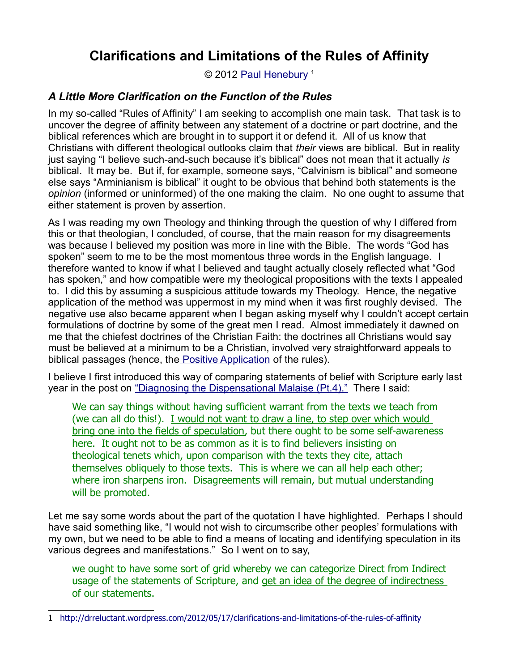© 2012 [Paul Henebury](http://www.spiritandtruth.org/id/ph.htm)<sup>[1](#page-0-0)</sup>

# *A Little More Clarification on the Function of the Rules*

In my so-called "Rules of Affinity" I am seeking to accomplish one main task. That task is to uncover the degree of affinity between any statement of a doctrine or part doctrine, and the biblical references which are brought in to support it or defend it. All of us know that Christians with different theological outlooks claim that *their* views are biblical. But in reality just saying "I believe such-and-such because it's biblical" does not mean that it actually *is* biblical. It may be. But if, for example, someone says, "Calvinism is biblical" and someone else says "Arminianism is biblical" it ought to be obvious that behind both statements is the *opinion* (informed or uninformed) of the one making the claim. No one ought to assume that either statement is proven by assertion.

As I was reading my own Theology and thinking through the question of why I differed from this or that theologian, I concluded, of course, that the main reason for my disagreements was because I believed my position was more in line with the Bible. The words "God has spoken" seem to me to be the most momentous three words in the English language. I therefore wanted to know if what I believed and taught actually closely reflected what "God has spoken," and how compatible were my theological propositions with the texts I appealed to. I did this by assuming a suspicious attitude towards my Theology. Hence, the negative application of the method was uppermost in my mind when it was first roughly devised. The negative use also became apparent when I began asking myself why I couldn't accept certain formulations of doctrine by some of the great men I read. Almost immediately it dawned on me that the chiefest doctrines of the Christian Faith: the doctrines all Christians would say must be believed at a minimum to be a Christian, involved very straightforward appeals to biblical passages (hence, th[e Positive Application](http://drreluctant.wordpress.com/2012/04/15/positive-application-of-the-rules-of-affinity/) of the rules).

I believe I first introduced this way of comparing statements of belief with Scripture early last year in the post on ["Diagnosing the Dispensational Malaise \(Pt.4\)."](http://drreluctant.wordpress.com/2011/02/10/diagnosing-the-dispensational-malaise-an-opinion-pt-4/) There I said:

We can say things without having sufficient warrant from the texts we teach from (we can all do this!). I would not want to draw a line, to step over which would bring one into the fields of speculation, but there ought to be some self-awareness here. It ought not to be as common as it is to find believers insisting on theological tenets which, upon comparison with the texts they cite, attach themselves obliquely to those texts. This is where we can all help each other; where iron sharpens iron. Disagreements will remain, but mutual understanding will be promoted.

Let me say some words about the part of the quotation I have highlighted. Perhaps I should have said something like, "I would not wish to circumscribe other peoples' formulations with my own, but we need to be able to find a means of locating and identifying speculation in its various degrees and manifestations." So I went on to say,

we ought to have some sort of grid whereby we can categorize Direct from Indirect usage of the statements of Scripture, and get an idea of the degree of indirectness of our statements.

<span id="page-0-0"></span><sup>1</sup> <http://drreluctant.wordpress.com/2012/05/17/clarifications-and-limitations-of-the-rules-of-affinity>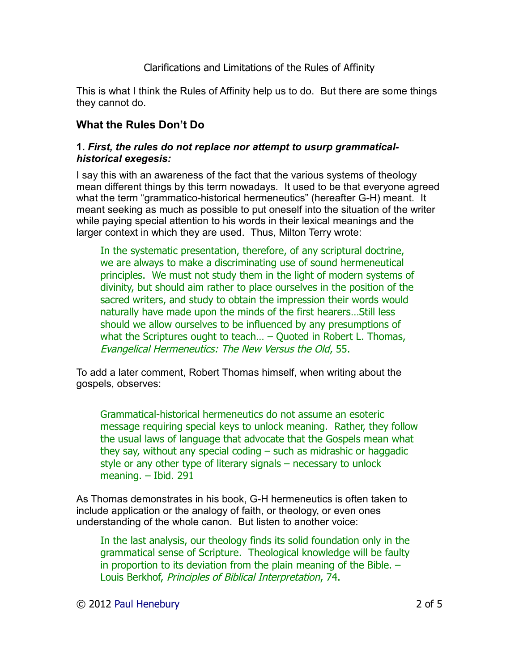This is what I think the Rules of Affinity help us to do. But there are some things they cannot do.

# **What the Rules Don't Do**

#### **1.** *First, the rules do not replace nor attempt to usurp grammaticalhistorical exegesis:*

I say this with an awareness of the fact that the various systems of theology mean different things by this term nowadays. It used to be that everyone agreed what the term "grammatico-historical hermeneutics" (hereafter G-H) meant. It meant seeking as much as possible to put oneself into the situation of the writer while paying special attention to his words in their lexical meanings and the larger context in which they are used. Thus, Milton Terry wrote:

In the systematic presentation, therefore, of any scriptural doctrine, we are always to make a discriminating use of sound hermeneutical principles. We must not study them in the light of modern systems of divinity, but should aim rather to place ourselves in the position of the sacred writers, and study to obtain the impression their words would naturally have made upon the minds of the first hearers…Still less should we allow ourselves to be influenced by any presumptions of what the Scriptures ought to teach… – Quoted in Robert L. Thomas, Evangelical Hermeneutics: The New Versus the Old, 55.

To add a later comment, Robert Thomas himself, when writing about the gospels, observes:

Grammatical-historical hermeneutics do not assume an esoteric message requiring special keys to unlock meaning. Rather, they follow the usual laws of language that advocate that the Gospels mean what they say, without any special coding – such as midrashic or haggadic style or any other type of literary signals – necessary to unlock meaning. – Ibid. 291

As Thomas demonstrates in his book, G-H hermeneutics is often taken to include application or the analogy of faith, or theology, or even ones understanding of the whole canon. But listen to another voice:

In the last analysis, our theology finds its solid foundation only in the grammatical sense of Scripture. Theological knowledge will be faulty in proportion to its deviation from the plain meaning of the Bible. – Louis Berkhof, Principles of Biblical Interpretation, 74.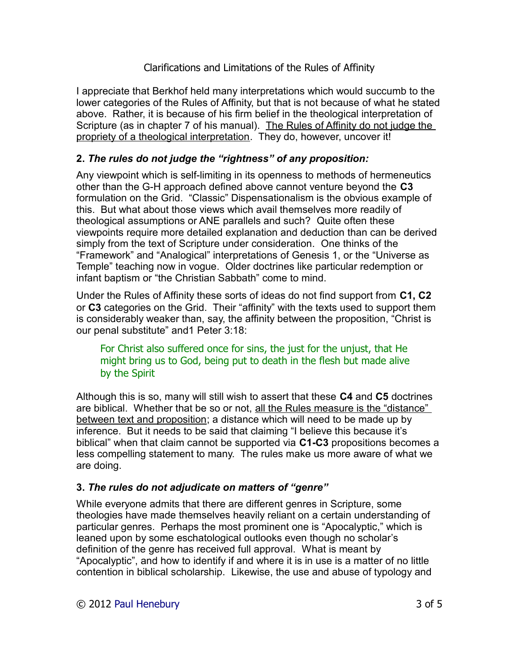I appreciate that Berkhof held many interpretations which would succumb to the lower categories of the Rules of Affinity, but that is not because of what he stated above. Rather, it is because of his firm belief in the theological interpretation of Scripture (as in chapter 7 of his manual). The Rules of Affinity do not judge the propriety of a theological interpretation. They do, however, uncover it!

# **2.** *The rules do not judge the "rightness" of any proposition:*

Any viewpoint which is self-limiting in its openness to methods of hermeneutics other than the G-H approach defined above cannot venture beyond the **C3** formulation on the Grid. "Classic" Dispensationalism is the obvious example of this. But what about those views which avail themselves more readily of theological assumptions or ANE parallels and such? Quite often these viewpoints require more detailed explanation and deduction than can be derived simply from the text of Scripture under consideration. One thinks of the "Framework" and "Analogical" interpretations of Genesis 1, or the "Universe as Temple" teaching now in vogue. Older doctrines like particular redemption or infant baptism or "the Christian Sabbath" come to mind.

Under the Rules of Affinity these sorts of ideas do not find support from **C1, C2** or **C3** categories on the Grid. Their "affinity" with the texts used to support them is considerably weaker than, say, the affinity between the proposition, "Christ is our penal substitute" and1 Peter 3:18:

## For Christ also suffered once for sins, the just for the unjust, that He might bring us to God, being put to death in the flesh but made alive by the Spirit

Although this is so, many will still wish to assert that these **C4** and **C5** doctrines are biblical. Whether that be so or not, all the Rules measure is the "distance" between text and proposition; a distance which will need to be made up by inference. But it needs to be said that claiming "I believe this because it's biblical" when that claim cannot be supported via **C1-C3** propositions becomes a less compelling statement to many. The rules make us more aware of what we are doing.

## **3.** *The rules do not adjudicate on matters of "genre"*

While everyone admits that there are different genres in Scripture, some theologies have made themselves heavily reliant on a certain understanding of particular genres. Perhaps the most prominent one is "Apocalyptic," which is leaned upon by some eschatological outlooks even though no scholar's definition of the genre has received full approval. What is meant by "Apocalyptic", and how to identify if and where it is in use is a matter of no little contention in biblical scholarship. Likewise, the use and abuse of typology and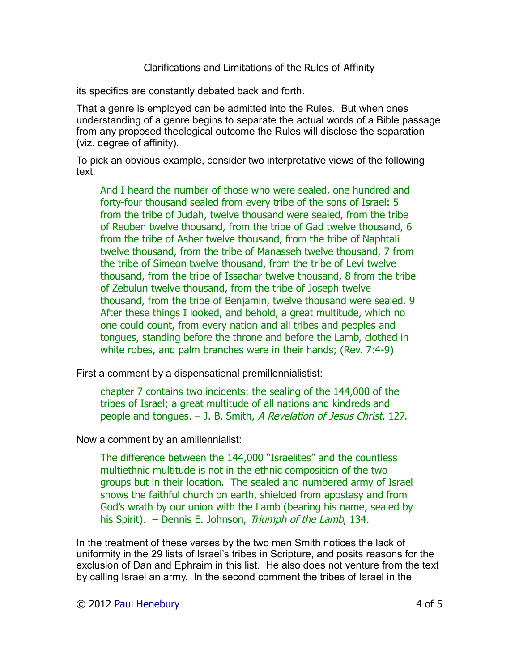its specifics are constantly debated back and forth.

That a genre is employed can be admitted into the Rules. But when ones understanding of a genre begins to separate the actual words of a Bible passage from any proposed theological outcome the Rules will disclose the separation (viz. degree of affinity).

To pick an obvious example, consider two interpretative views of the following text:

And I heard the number of those who were sealed, one hundred and forty-four thousand sealed from every tribe of the sons of Israel: 5 from the tribe of Judah, twelve thousand were sealed, from the tribe of Reuben twelve thousand, from the tribe of Gad twelve thousand, 6 from the tribe of Asher twelve thousand, from the tribe of Naphtali twelve thousand, from the tribe of Manasseh twelve thousand, 7 from the tribe of Simeon twelve thousand, from the tribe of Levi twelve thousand, from the tribe of Issachar twelve thousand, 8 from the tribe of Zebulun twelve thousand, from the tribe of Joseph twelve thousand, from the tribe of Benjamin, twelve thousand were sealed. 9 After these things I looked, and behold, a great multitude, which no one could count, from every nation and all tribes and peoples and tongues, standing before the throne and before the Lamb, clothed in white robes, and palm branches were in their hands; (Rev. 7:4-9)

First a comment by a dispensational premillennialistist:

chapter 7 contains two incidents: the sealing of the 144,000 of the tribes of Israel; a great multitude of all nations and kindreds and people and tongues. – J. B. Smith, A Revelation of Jesus Christ, 127.

Now a comment by an amillennialist:

The difference between the 144,000 "Israelites" and the countless multiethnic multitude is not in the ethnic composition of the two groups but in their location. The sealed and numbered army of Israel shows the faithful church on earth, shielded from apostasy and from God's wrath by our union with the Lamb (bearing his name, sealed by his Spirit). – Dennis E. Johnson, Triumph of the Lamb, 134.

In the treatment of these verses by the two men Smith notices the lack of uniformity in the 29 lists of Israel's tribes in Scripture, and posits reasons for the exclusion of Dan and Ephraim in this list. He also does not venture from the text by calling Israel an army. In the second comment the tribes of Israel in the